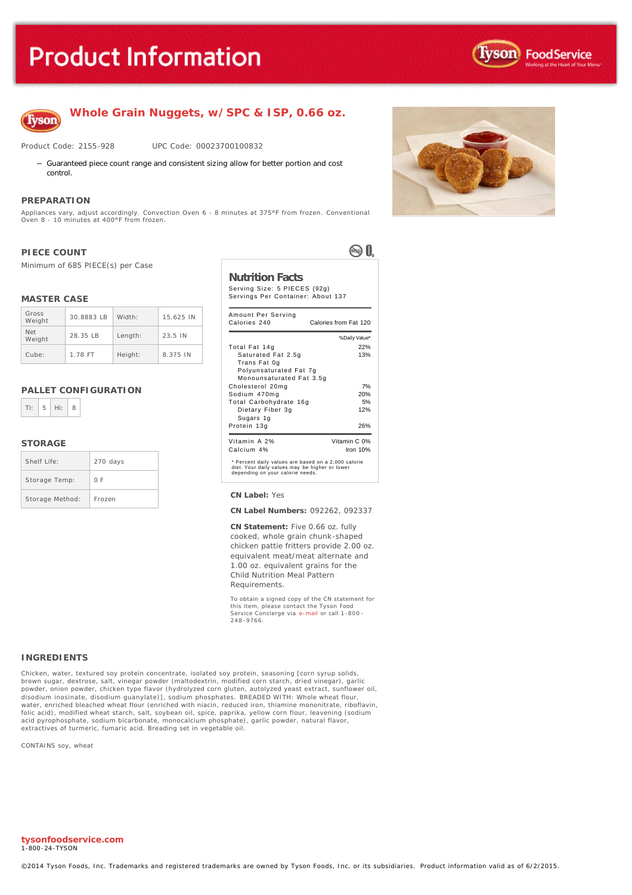# **Product Information**





**Whole Grain Nuggets, w/SPC & ISP, 0.66 oz.**

Product Code: 2155-928 UPC Code: 00023700100832

- Guaranteed piece count range and consistent sizing allow for better portion and cost control.

#### **PREPARATION**

Appliances vary, adjust accordingly. Convection Oven 6 - 8 minutes at 375°F from frozen. Conventional Oven 8 - 10 minutes at 400°F from frozen.

#### **PIECE COUNT**

Minimum of 685 PIECE(s) per Case

#### **MASTER CASE**

| Gross<br>Weight | 30.8883 IB | Width:  | 15.625 IN |
|-----------------|------------|---------|-----------|
| Net<br>Weight   | 28.35 IB   | Length: | 23.5 IN   |
| Cube:           | 1.78 FT    | Height: | 8.375 IN  |

#### **PALLET CONFIGURATION**



#### **STORAGE**

| Shelf Life:     | 270 days |
|-----------------|----------|
| Storage Temp:   | 0 F      |
| Storage Method: | Frozen   |

## ®0.

## **Nutrition Facts**

Serving Size: 5 PIECES (92g) Servings Per Container: About 137

| Amount Per Serving<br>Calories 240                                                                                                        | Calories from Fat 120 |
|-------------------------------------------------------------------------------------------------------------------------------------------|-----------------------|
|                                                                                                                                           | % Daily Value*        |
| Total Fat 14g                                                                                                                             | 22%                   |
| Saturated Fat 2.5g<br>Trans Fat 0g                                                                                                        | 13%                   |
| Polyunsaturated Fat 7g<br>Monounsaturated Fat 3.5q                                                                                        |                       |
| Cholesterol 20mg                                                                                                                          | 7%                    |
| Sodium 470mg                                                                                                                              | 20%                   |
| Total Carbohydrate 16g                                                                                                                    | 5%                    |
| Dietary Fiber 3g<br>Sugars 1g                                                                                                             | 12%                   |
| Protein 13g                                                                                                                               | 26%                   |
| Vitamin A 2%                                                                                                                              | Vitamin C 0%          |
| Calcium 4%                                                                                                                                | Iron $10%$            |
| * Percent daily values are based on a 2,000 calorie<br>diet. Your daily values may be higher or lower<br>depending on your calorie needs. |                       |

#### **CN Label:** Yes

**CN Label Numbers:** 092262, 092337

**CN Statement:** Five 0.66 oz. fully cooked, whole grain chunk-shaped chicken pattie fritters provide 2.00 oz. equivalent meat/meat alternate and 1.00 oz. equivalent grains for the Child Nutrition Meal Pattern Requirements.

To obtain a signed copy of the CN statement for this item, please contact the Tyson Food Service Concierge via [e-mail](mailto:fscomments@tyson.com) or call 1-800 - 248 -9766.

#### **INGREDIENTS**

Chicken, water, textured soy protein concentrate, isolated soy protein, seasoning [corn syrup solids, brown sugar, dextrose, salt, vinegar powder (maltodextrin, modified corn starch, dried vinegar), garlic<br>powder, onion powder, chicken type flavor (hydrolyzed corn gluten, autolyzed yeast extract, sunflower oil,<br>disodium in folic acid), modified wheat starch, salt, soybean oil, spice, paprika, yellow corn flour, leavening (sodium acid pyrophosphate, sodium bicarbonate, monocalcium phosphate), garlic powder, natural flavor, extractives of turmeric, fumaric acid. Breading set in vegetable oil.

CONTAINS soy, wheat

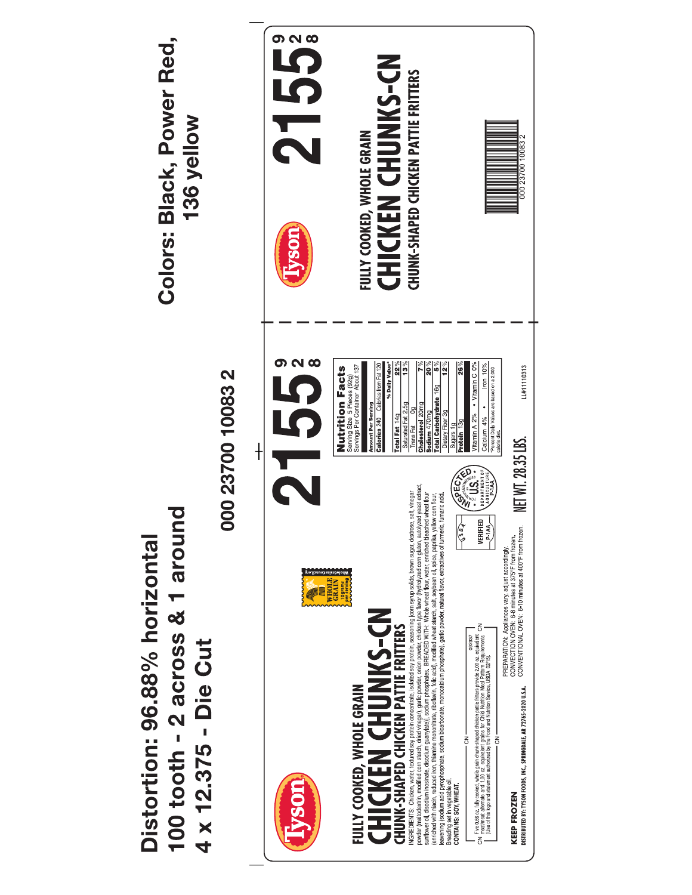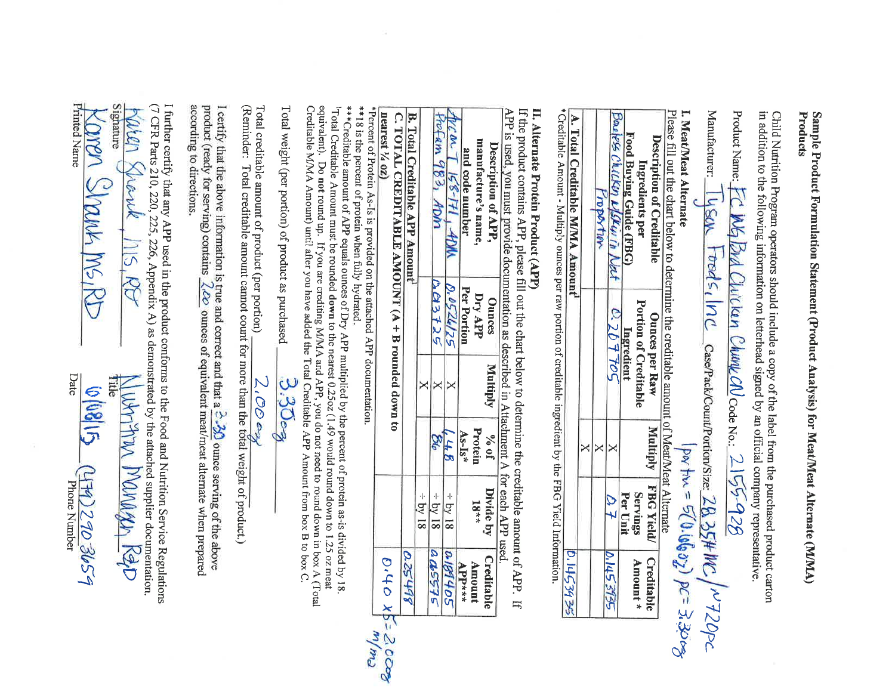

## Sample Product Formulation Statement (Product Analysis) for Meat/Meat Alternate (M/MA) **Products**

Child Nutrition Program operators should include a copy of the label from the purchased product carton in addition to the following information on letterhead signed by an official company representative.

| Product Name: FC WG Brd Chicken Chunk CN Code No.: 2155-928                               |
|-------------------------------------------------------------------------------------------|
| Manufacturer: Tyson Foods, Inc case/Pack/Count/Portion/Size: 28, 35#MC/ ~720pc            |
| $(porfin = 5(0.10607)) pc = 3.3008$<br>I. Meat/Meat Alternate                             |
| Please fill out the chart below to determine the creditable amount of Meat/Meat Alternate |

| <b>Description of Creditable</b><br>Ingredients per<br>Food Buying Guide (FBG) | <b>Ounces per Raw</b><br><b>Portion of Creditable</b><br>Ingredient | <b>Multiply</b> | <b>FBG Yield/</b><br><b>Servings</b><br>Per Unit | Creditable<br>Amount * |
|--------------------------------------------------------------------------------|---------------------------------------------------------------------|-----------------|--------------------------------------------------|------------------------|
| Boxeless Chicken NSKinin Nat                                                   | 0.207705                                                            |                 |                                                  | 0.1453935              |
| roportion                                                                      |                                                                     |                 |                                                  |                        |
|                                                                                |                                                                     |                 |                                                  |                        |

A. Total Creditable M/MA Amount

\*Creditable Amount - Multiply ounces per raw portion of creditable ingredient by the FBG Yield Information.

#### II. Alternate Protein Product (APP)

If the product contains APP, please fill out the chart below to determine the creditable amount of APP. If APP is used, you must provide documentation as described in Attachment A for each APP used.

| Description of APP,<br>manufacture's name,<br>and code number                                       | <b>Ounces</b><br>Dry APP<br>Per Portion | <b>Multiply</b> | % of<br><b>Protein</b><br>$As-Is*$ | Divide by<br>$18**$ | Creditable<br><b>Amount</b><br>$APP***$ |
|-----------------------------------------------------------------------------------------------------|-----------------------------------------|-----------------|------------------------------------|---------------------|-----------------------------------------|
| $158 - 171, 4011$<br>ran                                                                            | 0.0526125                               | Χ               | 48                                 | $\div$ by 18        | 0189405                                 |
| Profam 983, ADM                                                                                     | 0.03725                                 | Х               | BЬ                                 | $\div$ by 18        | a45575                                  |
|                                                                                                     |                                         | X               |                                    | $\div$ by 18        |                                         |
| <b>B. Total Creditable APP Amount</b>                                                               |                                         |                 |                                    |                     | 0.25498                                 |
| C. TOTAL CREDITABLE AMOUNT $(A + B$ rounded down to<br>nearest $\frac{1}{4}$ oz)<br>$x - y - z = 0$ |                                         |                 |                                    |                     | 0.40                                    |

\*Percent of Protein As-Is is provided on the attached APP documentation.

\*\*18 is the percent of protein when fully hydrated.

\*\*\* Creditable amount of APP equals ounces of Dry APP multiplied by the percent of protein as-is divided by 18. <sup>1</sup>Total Creditable Amount must be rounded down to the nearest 0.25oz (1.49 would round down to 1.25 oz meat equivalent). Do not round up. If you are crediting M/MA and APP, you do not need to round down in box A (Total Creditable M/MA Amount) until after you have added the Total Creditable APP Amount from box B to box C.

Total weight (per portion) of product as purchased

Total creditable amount of product (per portion)

 $2.000x$ 

(Reminder: Total creditable amount cannot count for more than the total weight of product.)

I certify that the above information is true and correct and that a  $\frac{3}{2}$   $\frac{30}{20}$  ounce serving of the above product (ready for serving) contains  $2.20$  ounces of equivalent meat/meat alternate when prepared according to directions.

I further certify that any APP used in the product conforms to the Food and Nutrition Service Regulations (7 CFR Parts 210, 220, 225, 226, Appendix A) as demonstrated by the attached supplier documentation.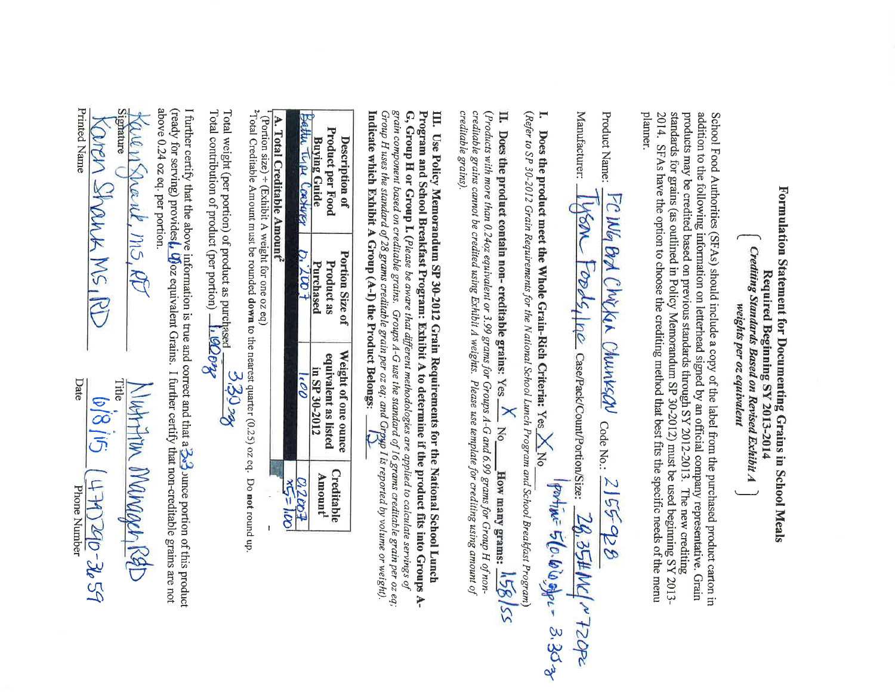

## **Formulation Statement for Documenting Grains in School Meals** Required Beginning SY 2013-2014 Crediting Standards Based on Revised Exhibit A<br>weights per oz equivalent

School Food Authorities (SFAs) should include a copy of the label from the purchased product carton in addition to the following information on letterhead signed by an official company representative. Grain products may be credited based on previous standards through SY 2012-2013. The new crediting standards for grains (as outlined in Policy Memorandum SP 30-2012) must be used beginning SY 2013-2014. SFAs have the option to choose the crediting method that best fits the specific needs of the menu planner.

| Product Name: FCWG Brd Chicken Chunksav Code No.: 2155-928                                 |  |
|--------------------------------------------------------------------------------------------|--|
| Manufacturer: Wan Foods, Inc Case/Pack/Count/Portion/Size: 28,35#MC/~720PC                 |  |
| Does the product meet the Whole Grain-Rich Criteria. Vac X Ma Portime 5 (0.600 apr = 3.303 |  |

(Refer to SP 30-2012 Grain Requirements for the National School Lunch Program and School Breakfast Program)

II. Does the product contain non- creditable grains: Yes  $\frac{X}{x}$  No How many grams:  $\frac{1.58}{x}$ (Products with more than 0.24oz equivalent or 3.99 grams for Groups A-G and 6.99 grams for Group H of noncreditable grains cannot be credited using Exhibit A weights. Please use template for crediting using amount of creditable grains).

III. Use Policy Memorandum SP 30-2012 Grain Requirements for the National School Lunch Program and School Breakfast Program: Exhibit A to determine if the product fits into Groups A-G, Group H or Group I. (Please be aware that different methodologies are applied to calculate servings of grain component based on creditable grains. Groups A-G use the standard of 16 grams creditable grain per oz eq; Group H uses the standard of 28 grams creditable grain per oz eq; and Group I is reported by volume or weight). Indicate which Exhibit A Group  $(A-I)$  the Product Belongs:  $(2)$ 

| Description of<br><b>Product per Food</b><br><b>Buying Guide</b> | <b>Portion Size of</b><br><b>Product as</b><br>Purchased | Weight of one ounce<br>equivalent as listed<br>in SP 30-2012 | Creditable<br>Amount <sup>1</sup> |
|------------------------------------------------------------------|----------------------------------------------------------|--------------------------------------------------------------|-----------------------------------|
| Batter Type Coatgress                                            | p. 2007                                                  | c00                                                          | 0.2007                            |
| A. Total Creditable Amount <sup>2</sup>                          |                                                          |                                                              | $x5 = 100$                        |

<sup>1</sup> (Portion size) ÷ (Exhibit A weight for one oz eq)

<sup>2</sup>Total Creditable Amount must be rounded down to the nearest quarter (0.25) oz eq. Do not round up.

Total weight (per portion) of product as purchased  $\frac{33022}{200}$ <br>Total contribution of product (per portion)  $\frac{1}{2}$  90072

I further certify that the above information is true and correct and that  $a \rightarrow 3$  unce portion of this product (ready for serving) provides *l. U*joz equivalent Grains. I further certify that non-creditable grains are not above 0.24 oz eq. per portion.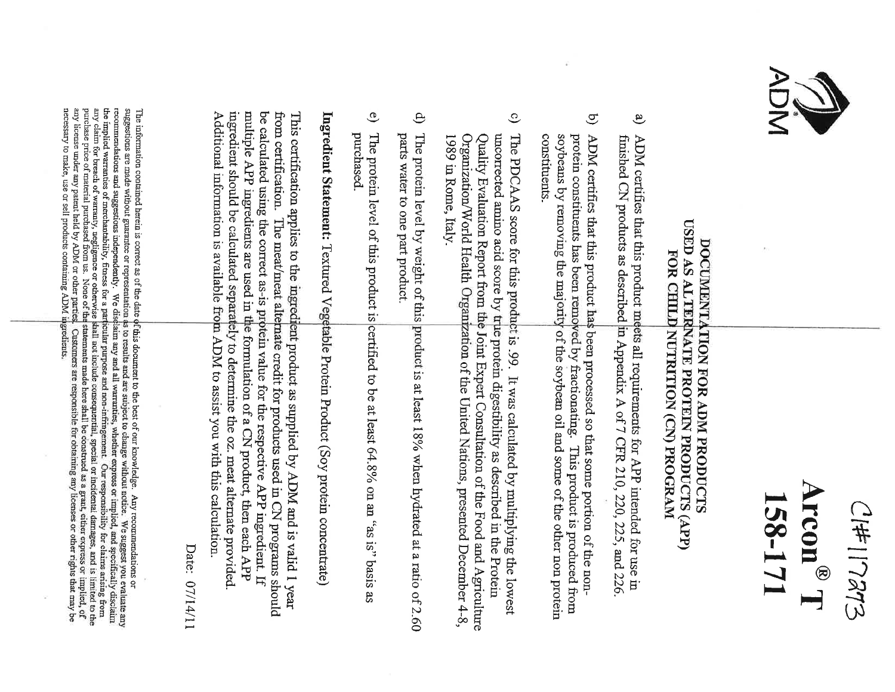

 $Cl#117273$  $\mathbf{Arcon}^{\circledR}$  T 158-171

## DOCUMENTATION FOR ADM PRODUCTS USED AS ALTERNATE PROTEIN PRODUCTS (APP) FOR CHILD NUTRITION (CN) PROGRAM

- a) ADM certifies that this product meets all requirements for APP intended for use in finished CN products as described in Appendix A of 7 CFR 210, 220, 225, and 226.
- b) ADM certifies that this product has been processed so that some portion of the nonprotein constituents has been removed by fractionating. This product is produced from soybeans by removing the majority of the soybean oil and some of the other non protein constituents.
- c) The PDCAAS score for this product is .99. It was calculated by multiplying the lowest uncorrected amino acid score by true protein digestibility as described in the Protein Quality Evaluation Report from the Joint Expert Consultation of the Food and Agriculture Organization/World Health Organization of the United Nations, presented December 4-8, 1989 in Rome, Italy.
- d) The protein level by weight of this product is at least 18% when hydrated at a ratio of 2.60 parts water to one part product.
- e) The protein level of this product is certified to be at least 64.8% on an "as is" basis as purchased.

Ingredient Statement: Textured Vegetable Protein Product (Soy protein concentrate)

This certification applies to the ingredient product as supplied by ADM and is valid 1 year from certification. The meat/meat alternate credit for products used in CN programs should be calculated using the correct as-is protein value for the respective APP ingredient. If multiple APP ingredients are used in the formulation of a CN product, then each APP ingredient should be calculated separately to determine the oz. meat alternate provided. Additional information is available from ADM to assist you with this calculation.

Date: 07/14/11

The information contained herein is correct as of the date of this document to the best of our knowledge. Any recommendations or suggestions are made without guarantee or representation as to results and are subject to change without notice. We suggest you evaluate any recommendations and suggestions independently. We disclaim any and all warranties, whether express or implied, and specifically disclaim the implied warranties of merchantability, fitness for a particular purpose and non-infringement. Our responsibility for claims arising from any claim for breach of warranty, negligence or otherwise shall not include consequential, special or incidental damages, and is limited to the purchase price of material purchased from us. None of the statements made here any license under any patent held by ADM or other parties. Customers are responsible for obtaining any licenses or other rights that may be necessary to make, use or sell products containing ADM ingredients.